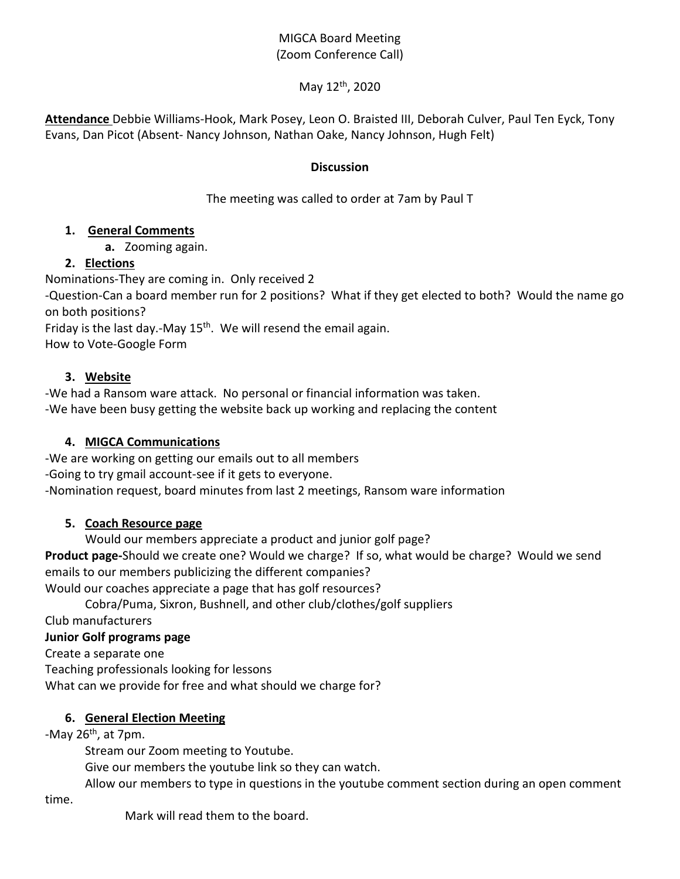## MIGCA Board Meeting (Zoom Conference Call)

#### May 12th, 2020

**Attendance** Debbie Williams-Hook, Mark Posey, Leon O. Braisted III, Deborah Culver, Paul Ten Eyck, Tony Evans, Dan Picot (Absent- Nancy Johnson, Nathan Oake, Nancy Johnson, Hugh Felt)

#### **Discussion**

The meeting was called to order at 7am by Paul T

#### **1. General Comments**

**a.** Zooming again.

# **2. Elections**

Nominations-They are coming in. Only received 2

-Question-Can a board member run for 2 positions? What if they get elected to both? Would the name go on both positions?

Friday is the last day.-May  $15<sup>th</sup>$ . We will resend the email again.

How to Vote-Google Form

#### **3. Website**

-We had a Ransom ware attack. No personal or financial information was taken. -We have been busy getting the website back up working and replacing the content

### **4. MIGCA Communications**

-We are working on getting our emails out to all members

-Going to try gmail account-see if it gets to everyone.

-Nomination request, board minutes from last 2 meetings, Ransom ware information

### **5. Coach Resource page**

Would our members appreciate a product and junior golf page?

**Product page-**Should we create one? Would we charge? If so, what would be charge? Would we send emails to our members publicizing the different companies?

Would our coaches appreciate a page that has golf resources?

Cobra/Puma, Sixron, Bushnell, and other club/clothes/golf suppliers

Club manufacturers

### **Junior Golf programs page**

Create a separate one Teaching professionals looking for lessons What can we provide for free and what should we charge for?

### **6. General Election Meeting**

-May  $26<sup>th</sup>$ , at 7pm.

Stream our Zoom meeting to Youtube.

Give our members the youtube link so they can watch.

Allow our members to type in questions in the youtube comment section during an open comment

time.

Mark will read them to the board.